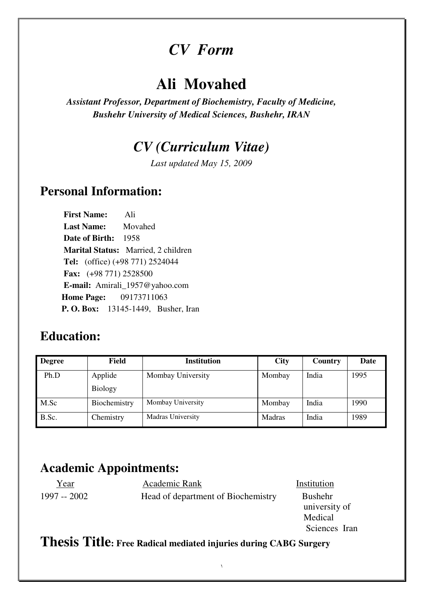# *CV Form*

# **Ali Movahed**

*Assistant Professor, Department of Biochemistry, Faculty of Medicine, Bushehr University of Medical Sciences, Bushehr, IRAN* 

## *CV (Curriculum Vitae)*

*Last updated May 15, 2009* 

### **Personal Information:**

 **First Name:** Ali  **Last Name:** Movahed  **Date of Birth:** 1958  **Marital Status:** Married, 2 children  **Tel:** (office) (+98 771) 2524044  **Fax:** (+98 771) 2528500  **E-mail:** Amirali\_1957@yahoo.com **Home Page:** 09173711063  **P. O. Box:** 13145-1449, Busher, Iran

### **Education:**

| <b>Degree</b> | <b>Field</b>   | <b>Institution</b> | <b>City</b> | Country | Date |
|---------------|----------------|--------------------|-------------|---------|------|
| Ph.D          | Applide        | Mombay University  | Mombay      | India   | 1995 |
|               | <b>Biology</b> |                    |             |         |      |
| M.Sc          | Biochemistry   | Mombay University  | Mombay      | India   | 1990 |
| B.Sc.         | Chemistry      | Madras University  | Madras      | India   | 1989 |

Ξ

## **Academic Appointments:**

| Year         | Academic Rank                      | Institution                     |
|--------------|------------------------------------|---------------------------------|
| 1997 -- 2002 | Head of department of Biochemistry | <b>Bushehr</b><br>university of |
|              |                                    | Medical                         |
|              |                                    | Sciences Iran                   |
|              |                                    |                                 |

١

#### **Thesis Title: Free Radical mediated injuries during CABG Surgery**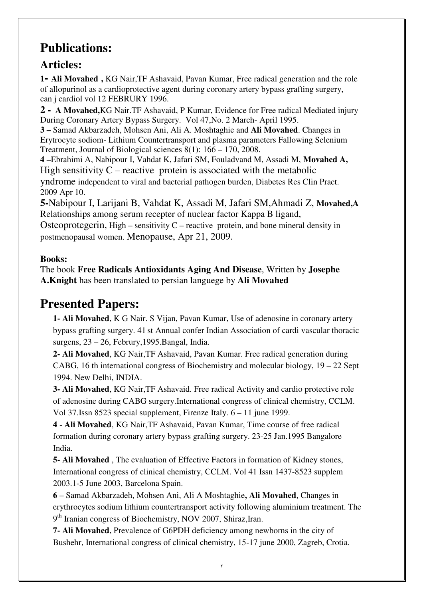## **Publications:**

#### **Articles:**

**1- Ali Movahed ,** KG Nair,TF Ashavaid, Pavan Kumar, Free radical generation and the role of allopurinol as a cardioprotective agent during coronary artery bypass grafting surgery, can j cardiol vol 12 FEBRURY 1996.

**2 - A Movahed,**KG Nair.TF Ashavaid, P Kumar, Evidence for Free radical Mediated injury During Coronary Artery Bypass Surgery. Vol 47,No. 2 March- April 1995.

**3 –** Samad Akbarzadeh, Mohsen Ani, Ali A. Moshtaghie and **Ali Movahed**. Changes in Erytrocyte sodiom- Lithium Countertransport and plasma parameters Fallowing Selenium Treatment, Journal of Biological sciences 8(1): 166 – 170, 2008.

**4 –**Ebrahimi A, Nabipour I, Vahdat K, Jafari SM, Fouladvand M, Assadi M, **Movahed A,** High sensitivity  $C$  – reactive protein is associated with the metabolic

yndrome independent to viral and bacterial pathogen burden, Diabetes Res Clin Pract. 2009 Apr 10.

**5-**Nabipour I, Larijani B, Vahdat K, Assadi M, Jafari SM,Ahmadi Z, **Movahed,A**  Relationships among serum recepter of nuclear factor Kappa B ligand,

Osteoprotegerin, High – sensitivity  $C$  – reactive protein, and bone mineral density in postmenopausal women. Menopause, Apr 21, 2009.

#### **Books:**

The book **Free Radicals Antioxidants Aging And Disease**, Written by **Josephe A.Knight** has been translated to persian languege by **Ali Movahed**

## **Presented Papers:**

**1- Ali Movahed**, K G Nair. S Vijan, Pavan Kumar, Use of adenosine in coronary artery bypass grafting surgery. 41 st Annual confer Indian Association of cardi vascular thoracic surgens, 23 – 26, Februry,1995.Bangal, India.

**2- Ali Movahed**, KG Nair,TF Ashavaid, Pavan Kumar. Free radical generation during CABG, 16 th international congress of Biochemistry and molecular biology,  $19 - 22$  Sept 1994. New Delhi, INDIA.

**3- Ali Movahed**, KG Nair,TF Ashavaid. Free radical Activity and cardio protective role of adenosine during CABG surgery.International congress of clinical chemistry, CCLM. Vol 37.Issn 8523 special supplement, Firenze Italy. 6 – 11 june 1999.

**4** - **Ali Movahed**, KG Nair,TF Ashavaid, Pavan Kumar, Time course of free radical formation during coronary artery bypass grafting surgery. 23-25 Jan.1995 Bangalore India.

**5- Ali Movahed** , The evaluation of Effective Factors in formation of Kidney stones, International congress of clinical chemistry, CCLM. Vol 41 Issn 1437-8523 supplem 2003.1-5 June 2003, Barcelona Spain.

**6** – Samad Akbarzadeh, Mohsen Ani, Ali A Moshtaghie**, Ali Movahed**, Changes in erythrocytes sodium lithium countertransport activity following aluminium treatment. The 9<sup>th</sup> Iranian congress of Biochemistry, NOV 2007, Shiraz, Iran.

**7- Ali Movahed**, Prevalence of G6PDH deficiency among newborns in the city of Bushehr, International congress of clinical chemistry, 15-17 june 2000, Zagreb, Crotia.